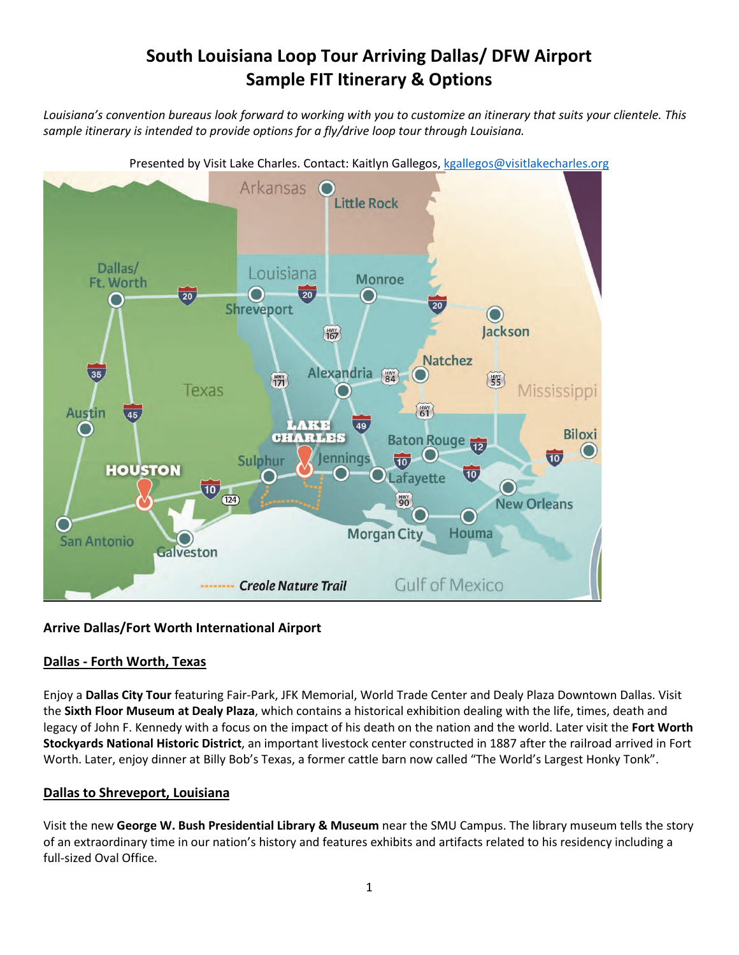# **South Louisiana Loop Tour Arriving Dallas/ DFW Airport Sample FIT Itinerary & Options**

*Louisiana's convention bureaus look forward to working with you to customize an itinerary that suits your clientele. This sample itinerary is intended to provide options for a fly/drive loop tour through Louisiana.* 



## **Arrive Dallas/Fort Worth International Airport**

## **Dallas - Forth Worth, Texas**

Enjoy a **Dallas City Tour** featuring Fair-Park, JFK Memorial, World Trade Center and Dealy Plaza Downtown Dallas. Visit the **Sixth Floor Museum at Dealy Plaza**, which contains a historical exhibition dealing with the life, times, death and legacy of John F. Kennedy with a focus on the impact of his death on the nation and the world. Later visit the **Fort Worth Stockyards National Historic District**, an important livestock center constructed in 1887 after the railroad arrived in Fort Worth. Later, enjoy dinner at Billy Bob's Texas, a former cattle barn now called "The World's Largest Honky Tonk".

## **Dallas to Shreveport, Louisiana**

Visit the new **George W. Bush Presidential Library & Museum** near the SMU Campus. The library museum tells the story of an extraordinary time in our nation's history and features exhibits and artifacts related to his residency including a full-sized Oval Office.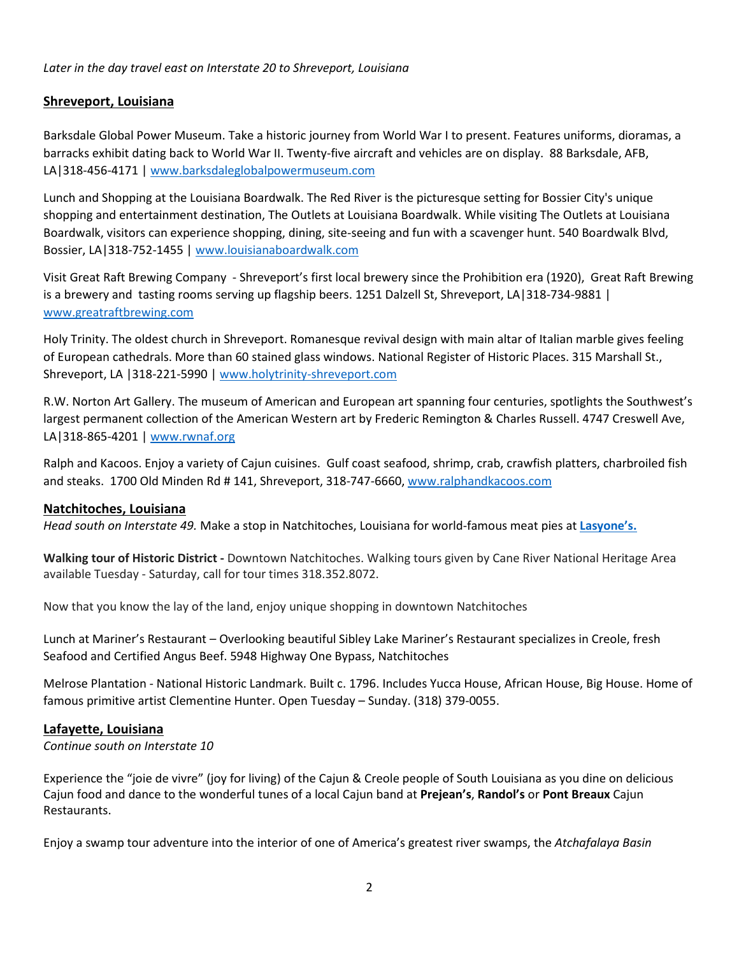#### *Later in the day travel east on Interstate 20 to Shreveport, Louisiana*

#### **Shreveport, Louisiana**

Barksdale Global Power Museum. Take a historic journey from World War I to present. Features uniforms, dioramas, a barracks exhibit dating back to World War II. Twenty-five aircraft and vehicles are on display. 88 Barksdale, AFB, LA|318-456-4171 [| www.barksdaleglobalpowermuseum.com](https://visitlcorg.sharepoint.com/sites/TourismTeam/Shared%20Documents/OLD%20versions/General1/1_Tourism%20Documents%20Access/1_Tour%26Travel/2_Sample%20Itineraries/FIT/crt.state.la.us/tourism/capitol)

Lunch and Shopping at the Louisiana Boardwalk. The Red River is the picturesque setting for Bossier City's unique shopping and entertainment destination, The Outlets at Louisiana Boardwalk. While visiting The Outlets at Louisiana Boardwalk, visitors can experience shopping, dining, site-seeing and fun with a scavenger hunt. 540 Boardwalk Blvd, Bossier, LA|318-752-1455 | [www.louisianaboardwalk.com](https://www.llakecharles.com/)

Visit Great Raft Brewing Company - Shreveport's first local brewery since the Prohibition era (1920), Great Raft Brewing is a brewery and tasting rooms serving up flagship beers. 1251 Dalzell St, Shreveport, LA|318-734-9881 | [www.greatraftbrewing.com](https://spacecenter.org/)

Holy Trinity. The oldest church in Shreveport. Romanesque revival design with main altar of Italian marble gives feeling of European cathedrals. More than 60 stained glass windows. National Register of Historic Places. 315 Marshall St., Shreveport, LA |318-221-5990 | [www.holytrinity-shreveport.com](file://server/usershares/AKlenke/Documents/Bureau/Tour&Travel/Sample%20Itineraries/tangeroutlet.com)

R.W. Norton Art Gallery. The museum of American and European art spanning four centuries, spotlights the Southwest's largest permanent collection of the American Western art by Frederic Remington & Charles Russell. 4747 Creswell Ave, LA|318-865-4201 [| www.rwnaf.org](http://www.cryingeagle.com/visit)

Ralph and Kacoos. Enjoy a variety of Cajun cuisines. Gulf coast seafood, shrimp, crab, crawfish platters, charbroiled fish and steaks. 1700 Old Minden Rd # 141, Shreveport, 318-747-6660, [www.ralphandkacoos.com](http://www.ralphandkacoos.com/)

#### **Natchitoches, Louisiana**

*Head south on Interstate 49.* Make a stop in Natchitoches, Louisiana for world-famous meat pies at **[Lasyone's.](http://www.greatraftbrewing.com/)** 

**Walking tour of Historic District -** Downtown Natchitoches. Walking tours given by Cane River National Heritage Area available Tuesday - Saturday, call for tour times 318.352.8072.

Now that you know the lay of the land, enjoy unique shopping in downtown Natchitoches

Lunch at Mariner's Restaurant – Overlooking beautiful Sibley Lake Mariner's Restaurant specializes in Creole, fresh Seafood and Certified Angus Beef. 5948 Highway One Bypass, Natchitoches

Melrose Plantation - National Historic Landmark. Built c. 1796. Includes Yucca House, African House, Big House. Home of famous primitive artist Clementine Hunter. Open Tuesday – Sunday. (318) 379-0055.

#### **Lafayette, Louisiana**

#### *Continue south on Interstate 10*

Experience the "joie de vivre" (joy for living) of the Cajun & Creole people of South Louisiana as you dine on delicious Cajun food and dance to the wonderful tunes of a local Cajun band at **Prejean's**, **Randol's** or **Pont Breaux** Cajun Restaurants.

Enjoy a swamp tour adventure into the interior of one of America's greatest river swamps, the *Atchafalaya Basin*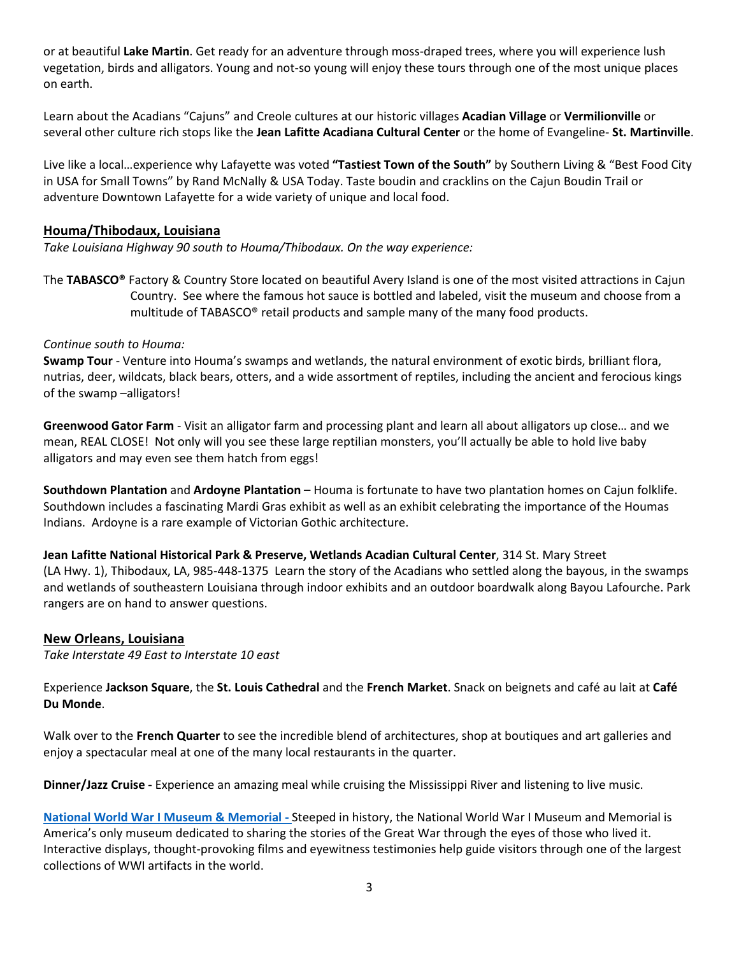or at beautiful **Lake Martin**. Get ready for an adventure through moss-draped trees, where you will experience lush vegetation, birds and alligators. Young and not-so young will enjoy these tours through one of the most unique places on earth.

Learn about the Acadians "Cajuns" and Creole cultures at our historic villages **Acadian Village** or **Vermilionville** or several other culture rich stops like the **Jean Lafitte Acadiana Cultural Center** or the home of Evangeline- **St. Martinville**.

Live like a local…experience why Lafayette was voted **"Tastiest Town of the South"** by Southern Living & "Best Food City in USA for Small Towns" by Rand McNally & USA Today. Taste boudin and cracklins on the Cajun Boudin Trail or adventure Downtown Lafayette for a wide variety of unique and local food.

#### **Houma/Thibodaux, Louisiana**

*Take Louisiana Highway 90 south to Houma/Thibodaux. On the way experience:* 

The **TABASCO®** Factory & Country Store located on beautiful Avery Island is one of the most visited attractions in Cajun Country. See where the famous hot sauce is bottled and labeled, visit the museum and choose from a multitude of TABASCO® retail products and sample many of the many food products.

#### *Continue south to Houma:*

**Swamp Tour** - Venture into Houma's swamps and wetlands, the natural environment of exotic birds, brilliant flora, nutrias, deer, wildcats, black bears, otters, and a wide assortment of reptiles, including the ancient and ferocious kings of the swamp –alligators!

**Greenwood Gator Farm** - Visit an alligator farm and processing plant and learn all about alligators up close… and we mean, REAL CLOSE! Not only will you see these large reptilian monsters, you'll actually be able to hold live baby alligators and may even see them hatch from eggs!

**Southdown Plantation** and **Ardoyne Plantation** – Houma is fortunate to have two plantation homes on Cajun folklife. Southdown includes a fascinating Mardi Gras exhibit as well as an exhibit celebrating the importance of the Houmas Indians. Ardoyne is a rare example of Victorian Gothic architecture.

**Jean Lafitte National Historical Park & Preserve, Wetlands Acadian Cultural Center**, 314 St. Mary Street (LA Hwy. 1), Thibodaux, LA, 985-448-1375 Learn the story of the Acadians who settled along the bayous, in the swamps and wetlands of southeastern Louisiana through indoor exhibits and an outdoor boardwalk along Bayou Lafourche. Park rangers are on hand to answer questions.

#### **New Orleans, Louisiana**

*Take Interstate 49 East to Interstate 10 east*

Experience **Jackson Square**, the **St. Louis Cathedral** and the **French Market**. Snack on beignets and café au lait at **Café Du Monde**.

Walk over to the **French Quarter** to see the incredible blend of architectures, shop at boutiques and art galleries and enjoy a spectacular meal at one of the many local restaurants in the quarter.

**Dinner/Jazz Cruise -** Experience an amazing meal while cruising the Mississippi River and listening to live music.

**[National World War I Museum & Memorial](mailto:aklenke@visitlakecharles.org) -** Steeped in history, the National World War I Museum and Memorial is America's only museum dedicated to sharing the stories of the Great War through the eyes of those who lived it. Interactive displays, thought-provoking films and eyewitness testimonies help guide visitors through one of the largest collections of WWI artifacts in the world.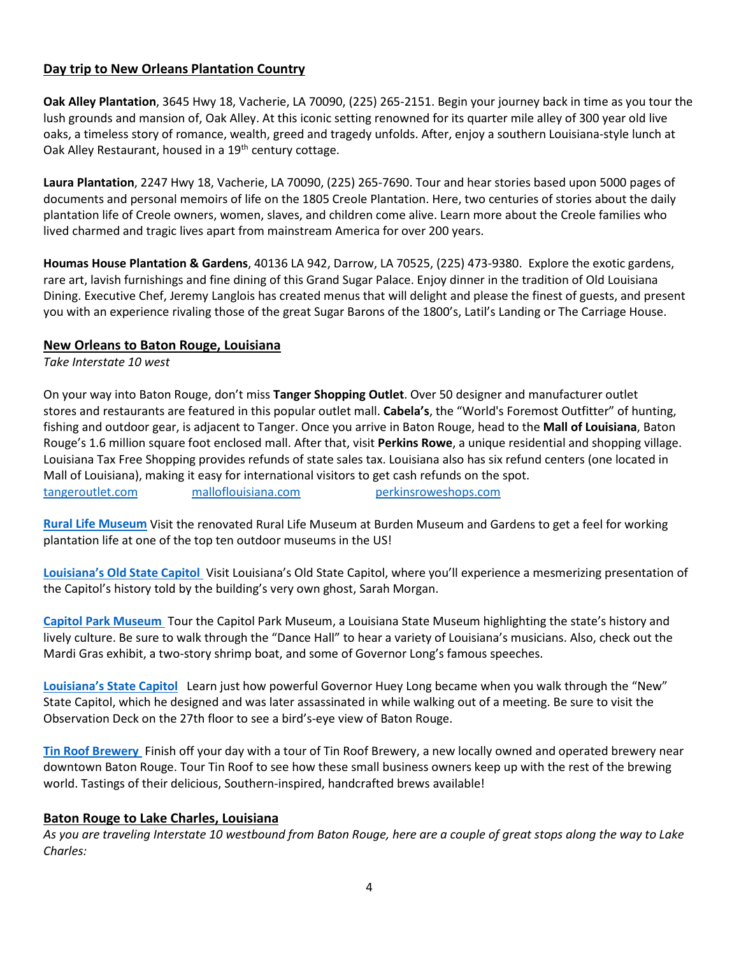## **Day trip to New Orleans Plantation Country**

**Oak Alley Plantation**, 3645 Hwy 18, Vacherie, LA 70090, (225) 265-2151. Begin your journey back in time as you tour the lush grounds and mansion of, Oak Alley. At this iconic setting renowned for its quarter mile alley of 300 year old live oaks, a timeless story of romance, wealth, greed and tragedy unfolds. After, enjoy a southern Louisiana-style lunch at Oak Alley Restaurant, housed in a 19<sup>th</sup> century cottage.

**Laura Plantation**, 2247 Hwy 18, Vacherie, LA 70090, (225) 265-7690. Tour and hear stories based upon 5000 pages of documents and personal memoirs of life on the 1805 Creole Plantation. Here, two centuries of stories about the daily plantation life of Creole owners, women, slaves, and children come alive. Learn more about the Creole families who lived charmed and tragic lives apart from mainstream America for over 200 years.

**Houmas House Plantation & Gardens**, 40136 LA 942, Darrow, LA 70525, (225) 473-9380. Explore the exotic gardens, rare art, lavish furnishings and fine dining of this Grand Sugar Palace. Enjoy dinner in the tradition of Old Louisiana Dining. Executive Chef, Jeremy Langlois has created menus that will delight and please the finest of guests, and present you with an experience rivaling those of the great Sugar Barons of the 1800's, Latil's Landing or The Carriage House.

#### **New Orleans to Baton Rouge, Louisiana**

*Take Interstate 10 west*

On your way into Baton Rouge, don't miss **Tanger Shopping Outlet**. Over 50 designer and manufacturer outlet stores and restaurants are featured in this popular outlet mall. **Cabela's**, the "World's Foremost Outfitter" of hunting, fishing and outdoor gear, is adjacent to Tanger. Once you arrive in Baton Rouge, head to the **Mall of Louisiana**, Baton Rouge's 1.6 million square foot enclosed mall. After that, visit **Perkins Rowe**, a unique residential and shopping village. Louisiana Tax Free Shopping provides refunds of state sales tax. Louisiana also has six refund centers (one located in Mall of Louisiana), making it easy for international visitors to get cash refunds on the spot. [tangeroutlet.com](http://www.rwnaf.org/) [malloflouisiana.com](https://www.islelakecharles.com/) [perkinsroweshops.com](file://server/usershares/AKlenke/Documents/Bureau/Tour&Travel/Sample%20Itineraries/perkinsroweshops.com) 

**[Rural Life Museum](https://www.theworldwar.org/)** Visit the renovated Rural Life Museum at Burden Museum and Gardens to get a feel for working plantation life at one of the top ten outdoor museums in the US!

**[Louisiana's Old State Capitol](file://server/usershares/AKlenke/Documents/Bureau/Tour&Travel/Sample%20Itineraries/malloflouisiana.com)** Visit Louisiana's Old State Capitol, where you'll experience a mesmerizing presentation of the Capitol's history told by the building's very own ghost, Sarah Morgan.

**Capitol Park Museum** Tour the Capitol Park Museum, a Louisiana State Museum highlighting the state's history and lively culture. Be sure to walk through the "Dance Hall" to hear a variety of Louisiana's musicians. Also, check out the Mardi Gras exhibit, a two-story shrimp boat, and some of Governor Long's famous speeches.

**Louisiana's State Capitol** Learn just how powerful Governor Huey Long became when you walk through the "New" State Capitol, which he designed and was later assassinated in while walking out of a meeting. Be sure to visit the Observation Deck on the 27th floor to see a bird's-eye view of Baton Rouge.

**[Tin Roof Brewery](http://www.holytrinity-shreveport.com/)** Finish off your day with a tour of Tin Roof Brewery, a new locally owned and operated brewery near downtown Baton Rouge. Tour Tin Roof to see how these small business owners keep up with the rest of the brewing world. Tastings of their delicious, Southern-inspired, handcrafted brews available!

## **Baton Rouge to Lake Charles, Louisiana**

*As you are traveling Interstate 10 westbound from Baton Rouge, here are a couple of great stops along the way to Lake Charles:*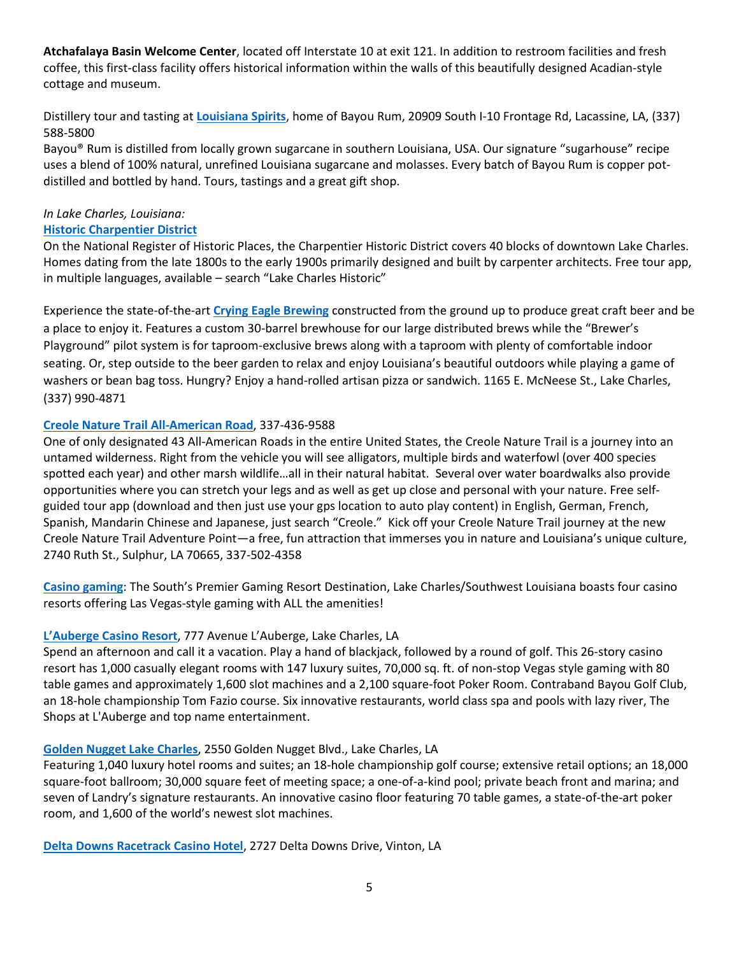**Atchafalaya Basin Welcome Center**, located off Interstate 10 at exit 121. In addition to restroom facilities and fresh coffee, this first-class facility offers historical information within the walls of this beautifully designed Acadian-style cottage and museum.

Distillery tour and tasting at **[Louisiana Spirits](https://visitlcorg.sharepoint.com/sites/TourismTeam/Shared%20Documents/OLD%20versions/General1/1_Tourism%20Documents%20Access/1_Tour%26Travel/2_Sample%20Itineraries/FIT/louisianaoldstatecapitol.org)**, home of Bayou Rum, 20909 South I-10 Frontage Rd, Lacassine, LA, (337) 588-5800

Bayou® Rum is distilled from locally grown sugarcane in southern Louisiana, USA. Our signature "sugarhouse" recipe uses a blend of 100% natural, unrefined Louisiana sugarcane and molasses. Every batch of Bayou Rum is copper potdistilled and bottled by hand. Tours, tastings and a great gift shop.

## *In Lake Charles, Louisiana:*

#### **[Historic Charpentier District](https://www.visitlakecharles.org/things-to-do/history/charpentier-district/)**

On the National Register of Historic Places, the Charpentier Historic District covers 40 blocks of downtown Lake Charles. Homes dating from the late 1800s to the early 1900s primarily designed and built by carpenter architects. Free tour app, in multiple languages, available – search "Lake Charles Historic"

Experience the state-of-the-art **[Crying Eagle Brewing](https://www.deltadowns.com/)** constructed from the ground up to produce great craft beer and be a place to enjoy it. Features a custom 30-barrel brewhouse for our large distributed brews while the "Brewer's Playground" pilot system is for taproom-exclusive brews along with a taproom with plenty of comfortable indoor seating. Or, step outside to the beer garden to relax and enjoy Louisiana's beautiful outdoors while playing a game of washers or bean bag toss. Hungry? Enjoy a hand-rolled artisan pizza or sandwich. 1165 E. McNeese St., Lake Charles, (337) 990-4871

## **[Creole Nature Trail All-American Road](http://www.creolenaturetrail.org/)**, 337-436-9588

One of only designated 43 All-American Roads in the entire United States, the Creole Nature Trail is a journey into an untamed wilderness. Right from the vehicle you will see alligators, multiple birds and waterfowl (over 400 species spotted each year) and other marsh wildlife…all in their natural habitat. Several over water boardwalks also provide opportunities where you can stretch your legs and as well as get up close and personal with your nature. Free selfguided tour app (download and then just use your gps location to auto play content) in English, German, French, Spanish, Mandarin Chinese and Japanese, just search "Creole." Kick off your Creole Nature Trail journey at the new Creole Nature Trail Adventure Point—a free, fun attraction that immerses you in nature and Louisiana's unique culture, 2740 Ruth St., Sulphur, LA 70665, 337-502-4358

**[Casino gaming](https://www.visitlakecharles.org/hotels-lodging/casino-resorts/)**: The South's Premier Gaming Resort Destination, Lake Charles/Southwest Louisiana boasts four casino resorts offering Las Vegas-style gaming with ALL the amenities!

## **[L'Auberge Casino Resort](http://www.bayourum.com/)**, 777 Avenue L'Auberge, Lake Charles, LA

Spend an afternoon and call it a vacation. Play a hand of blackjack, followed by a round of golf. This 26-story casino resort has 1,000 casually elegant rooms with 147 luxury suites, 70,000 sq. ft. of non-stop Vegas style gaming with 80 table games and approximately 1,600 slot machines and a 2,100 square-foot Poker Room. Contraband Bayou Golf Club, an 18-hole championship Tom Fazio course. Six innovative restaurants, world class spa and pools with lazy river, The Shops at L'Auberge and top name entertainment.

## **[Golden Nugget Lake Charles](https://www.visitlakecharles.org/listings/lake-city-board-and-bike-llc/149684/)**, 2550 Golden Nugget Blvd., Lake Charles, LA

Featuring 1,040 luxury hotel rooms and suites; an 18-hole championship golf course; extensive retail options; an 18,000 square-foot ballroom; 30,000 square feet of meeting space; a one-of-a-kind pool; private beach front and marina; and seven of Landry's signature restaurants. An innovative casino floor featuring 70 table games, a state-of-the-art poker room, and 1,600 of the world's newest slot machines.

**[Delta Downs Racetrack Casino Hotel](https://visitlcorg.sharepoint.com/sites/TourismTeam/Shared%20Documents/OLD%20versions/General1/1_Tourism%20Documents%20Access/1_Tour%26Travel/2_Sample%20Itineraries/FIT/tinroofbeer.com)**, 2727 Delta Downs Drive, Vinton, LA